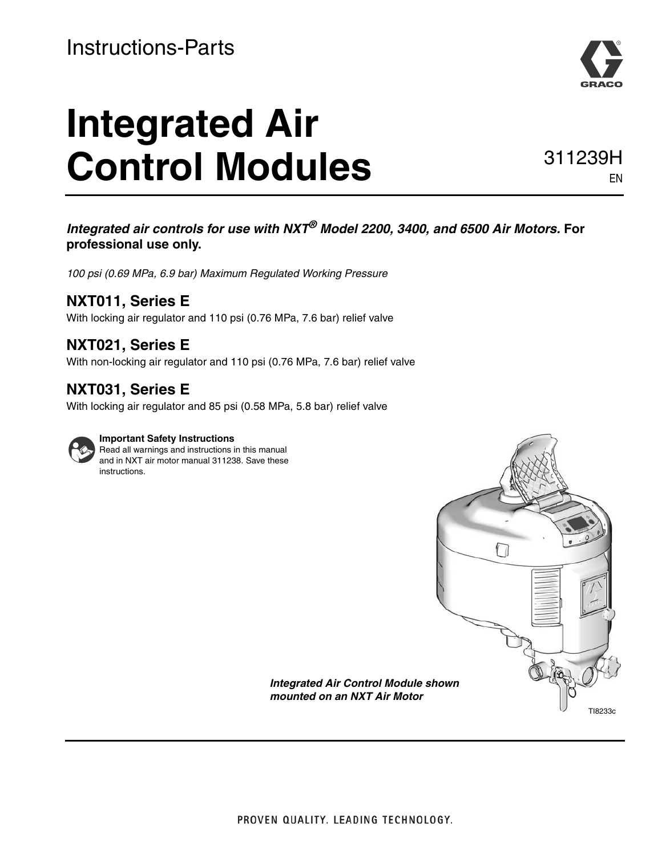# **Integrated Air**  Control Modules 311239H



EN

### *Integrated air controls for use with NXT® Model 2200, 3400, and 6500 Air Motors.* **For professional use only.**

*100 psi (0.69 MPa, 6.9 bar) Maximum Regulated Working Pressure*

### **NXT011, Series E**

With locking air regulator and 110 psi (0.76 MPa, 7.6 bar) relief valve

### **NXT021, Series E**

With non-locking air regulator and 110 psi (0.76 MPa, 7.6 bar) relief valve

### **NXT031, Series E**

With locking air regulator and 85 psi (0.58 MPa, 5.8 bar) relief valve



### **Important Safety Instructions**

Read all warnings and instructions in this manual and in NXT air motor manual 311238. Save these instructions.



*Integrated Air Control Module shown mounted on an NXT Air Motor*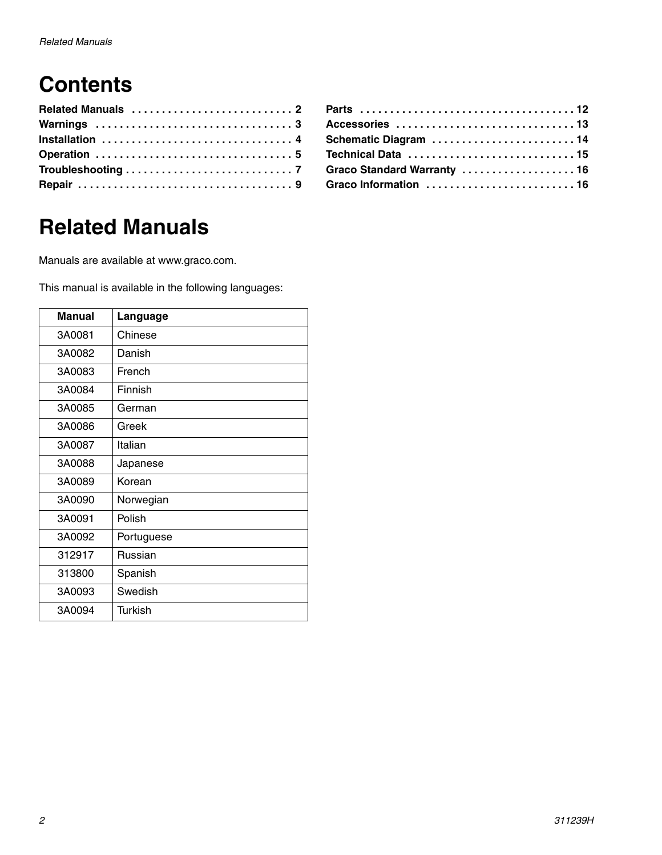# **Contents**

| Accessories 13              |  |
|-----------------------------|--|
| Schematic Diagram 14        |  |
|                             |  |
| Graco Standard Warranty  16 |  |
| Graco Information  16       |  |

# <span id="page-1-0"></span>**Related Manuals**

Manuals are available at www.graco.com.

This manual is available in the following languages:

| <b>Manual</b> | Language       |
|---------------|----------------|
| 3A0081        | Chinese        |
| 3A0082        | Danish         |
| 3A0083        | French         |
| 3A0084        | Finnish        |
| 3A0085        | German         |
| 3A0086        | Greek          |
| 3A0087        | Italian        |
| 3A0088        | Japanese       |
| 3A0089        | Korean         |
| 3A0090        | Norwegian      |
| 3A0091        | Polish         |
| 3A0092        | Portuguese     |
| 312917        | Russian        |
| 313800        | Spanish        |
| 3A0093        | Swedish        |
| 3A0094        | <b>Turkish</b> |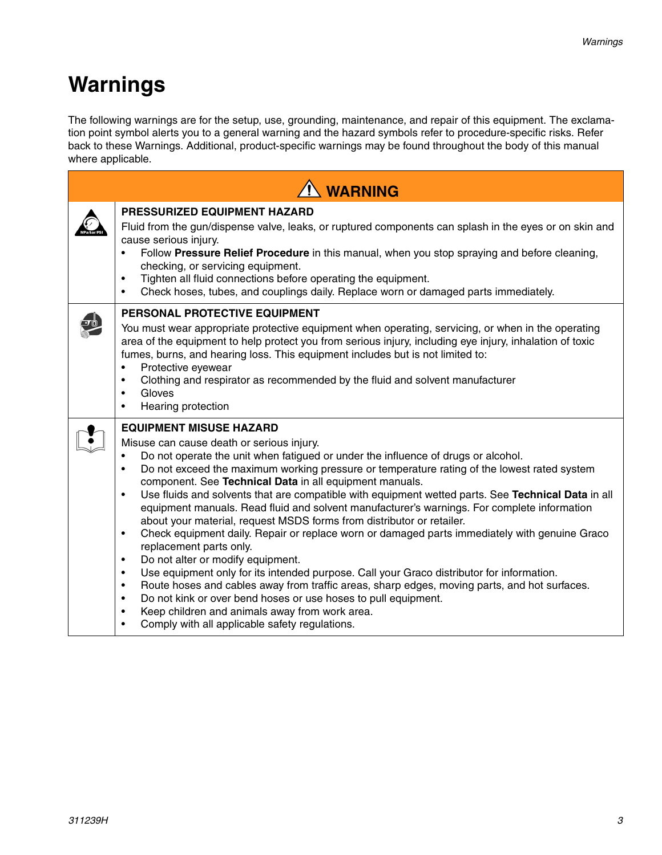# <span id="page-2-0"></span>**Warnings**

The following warnings are for the setup, use, grounding, maintenance, and repair of this equipment. The exclamation point symbol alerts you to a general warning and the hazard symbols refer to procedure-specific risks. Refer back to these Warnings. Additional, product-specific warnings may be found throughout the body of this manual where applicable.

| <b>N</b> WARNING                                                                                                                                                                                                                                                                                                                                                                                                                                                                                                                                                                                                                                                                                                                                                                                                                                                                                                                                                                                                                                                                                                                                                                                                                                               |
|----------------------------------------------------------------------------------------------------------------------------------------------------------------------------------------------------------------------------------------------------------------------------------------------------------------------------------------------------------------------------------------------------------------------------------------------------------------------------------------------------------------------------------------------------------------------------------------------------------------------------------------------------------------------------------------------------------------------------------------------------------------------------------------------------------------------------------------------------------------------------------------------------------------------------------------------------------------------------------------------------------------------------------------------------------------------------------------------------------------------------------------------------------------------------------------------------------------------------------------------------------------|
| <b>PRESSURIZED EQUIPMENT HAZARD</b><br>Fluid from the gun/dispense valve, leaks, or ruptured components can splash in the eyes or on skin and<br>cause serious injury.<br>Follow Pressure Relief Procedure in this manual, when you stop spraying and before cleaning,<br>checking, or servicing equipment.<br>Tighten all fluid connections before operating the equipment.<br>$\bullet$<br>Check hoses, tubes, and couplings daily. Replace worn or damaged parts immediately.<br>$\bullet$                                                                                                                                                                                                                                                                                                                                                                                                                                                                                                                                                                                                                                                                                                                                                                  |
| <b>PERSONAL PROTECTIVE EQUIPMENT</b><br>You must wear appropriate protective equipment when operating, servicing, or when in the operating<br>area of the equipment to help protect you from serious injury, including eye injury, inhalation of toxic<br>fumes, burns, and hearing loss. This equipment includes but is not limited to:<br>Protective eyewear<br>$\bullet$<br>Clothing and respirator as recommended by the fluid and solvent manufacturer<br>$\bullet$<br>Gloves<br>$\bullet$<br>Hearing protection<br>$\bullet$                                                                                                                                                                                                                                                                                                                                                                                                                                                                                                                                                                                                                                                                                                                             |
| <b>EQUIPMENT MISUSE HAZARD</b><br>Misuse can cause death or serious injury.<br>Do not operate the unit when fatigued or under the influence of drugs or alcohol.<br>٠<br>Do not exceed the maximum working pressure or temperature rating of the lowest rated system<br>٠<br>component. See Technical Data in all equipment manuals.<br>Use fluids and solvents that are compatible with equipment wetted parts. See Technical Data in all<br>$\bullet$<br>equipment manuals. Read fluid and solvent manufacturer's warnings. For complete information<br>about your material, request MSDS forms from distributor or retailer.<br>Check equipment daily. Repair or replace worn or damaged parts immediately with genuine Graco<br>$\bullet$<br>replacement parts only.<br>Do not alter or modify equipment.<br>$\bullet$<br>Use equipment only for its intended purpose. Call your Graco distributor for information.<br>$\bullet$<br>Route hoses and cables away from traffic areas, sharp edges, moving parts, and hot surfaces.<br>$\bullet$<br>Do not kink or over bend hoses or use hoses to pull equipment.<br>$\bullet$<br>Keep children and animals away from work area.<br>$\bullet$<br>Comply with all applicable safety regulations.<br>$\bullet$ |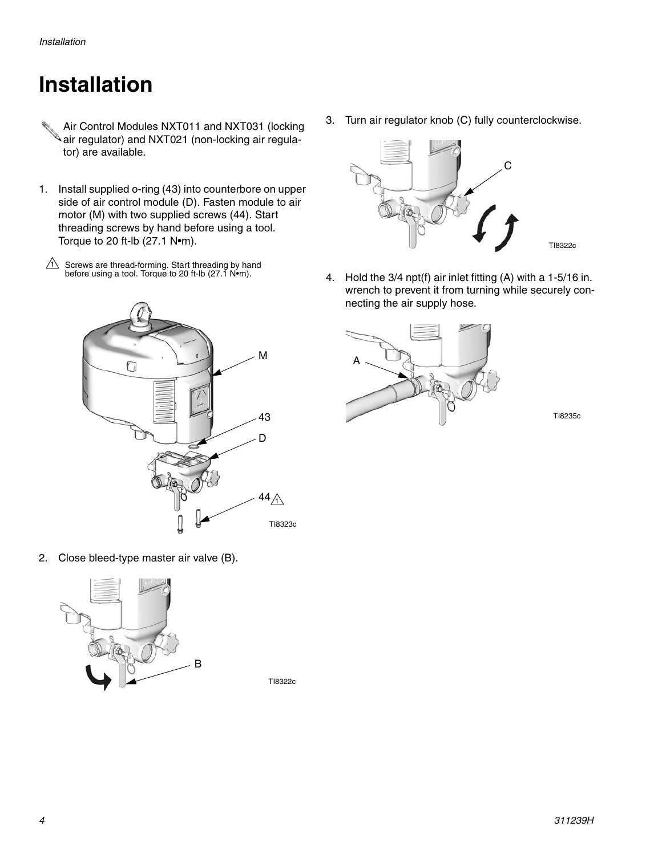# <span id="page-3-0"></span>**Installation**

- Air Control Modules NXT011 and NXT031 (locking air regulator) and NXT021 (non-locking air regulator) are available.
- 1. Install supplied o-ring (43) into counterbore on upper side of air control module (D). Fasten module to air motor (M) with two supplied screws (44). Start threading screws by hand before using a tool. Torque to 20 ft-lb (27.1 N•m).
- $1\sqrt{ }$  Screws are thread-forming. Start threading by hand before using a tool. Torque to 20 ft-lb (27.1 N•m).
	- M ኅ 43 D 44 $\hat{A}$ TI8323c

3. Turn air regulator knob (C) fully counterclockwise.



4. Hold the 3/4 npt(f) air inlet fitting (A) with a 1-5/16 in. wrench to prevent it from turning while securely connecting the air supply hose.



TI8235c

2. Close bleed-type master air valve (B).



TI8322c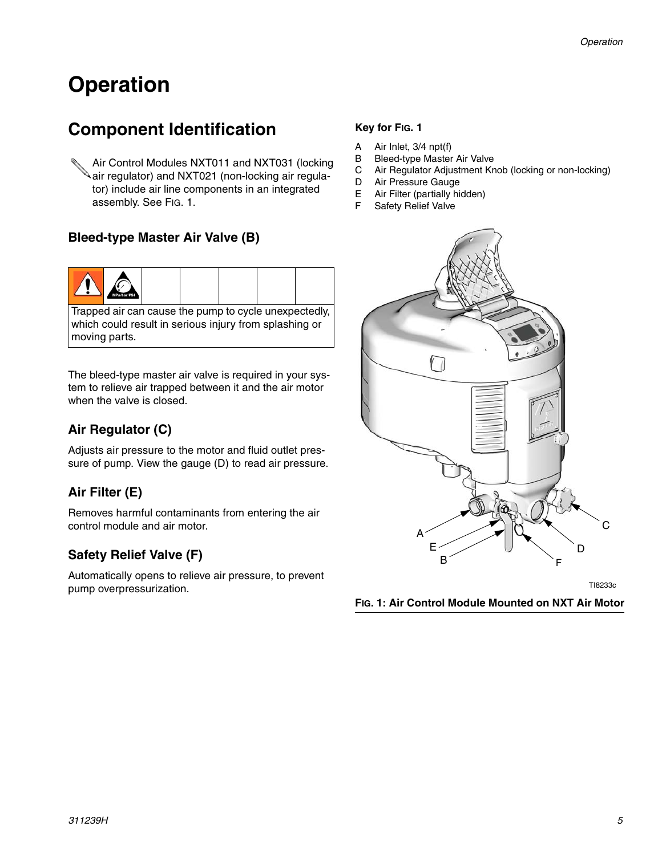# <span id="page-4-0"></span>**Operation**

### **Component Identification**

Air Control Modules NXT011 and NXT031 (locking air regulator) and NXT021 (non-locking air regulator) include air line components in an integrated assembly. See FIG. 1.

### **Bleed-type Master Air Valve (B)**



Trapped air can cause the pump to cycle unexpectedly, which could result in serious injury from splashing or moving parts.

The bleed-type master air valve is required in your system to relieve air trapped between it and the air motor when the valve is closed.

### **Air Regulator (C)**

Adjusts air pressure to the motor and fluid outlet pressure of pump. View the gauge (D) to read air pressure.

### **Air Filter (E)**

Removes harmful contaminants from entering the air control module and air motor.

### **Safety Relief Valve (F)**

Automatically opens to relieve air pressure, to prevent pump overpressurization.

### **Key for FIG. 1**

- A Air Inlet, 3/4 npt(f)
- B Bleed-type Master Air Valve
- C Air Regulator Adjustment Knob (locking or non-locking)
- D Air Pressure Gauge
- E Air Filter (partially hidden)
- F Safety Relief Valve



TI8233c

**FIG. 1: Air Control Module Mounted on NXT Air Motor**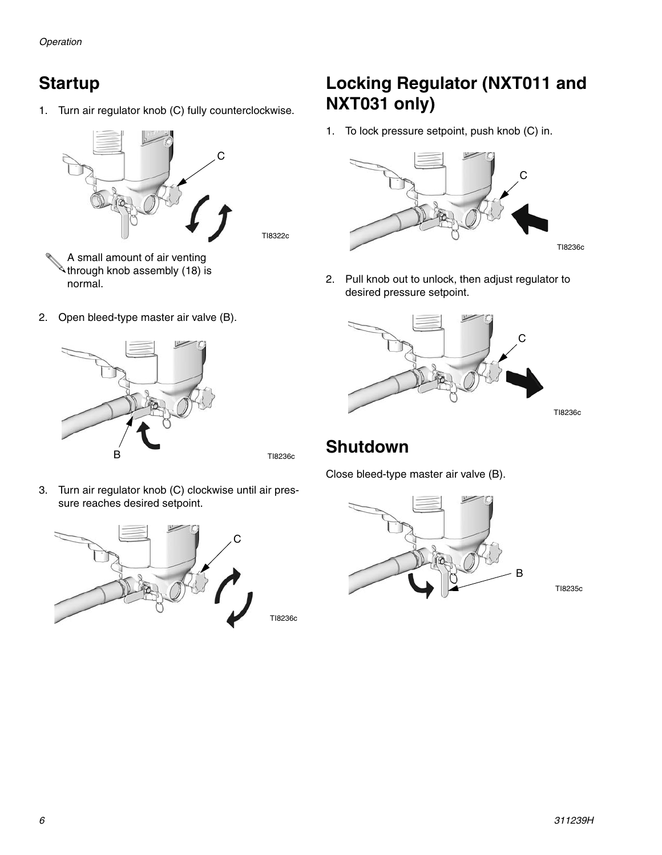1. Turn air regulator knob (C) fully counterclockwise.



A small amount of air venting  $\mathbb A$ through knob assembly (18) is normal.

2. Open bleed-type master air valve (B).



TI8322c

3. Turn air regulator knob (C) clockwise until air pressure reaches desired setpoint.



### **Startup Locking Regulator (NXT011 and NXT031 only)**

1. To lock pressure setpoint, push knob (C) in.



2. Pull knob out to unlock, then adjust regulator to desired pressure setpoint.



TI8236c

### **Shutdown**

Close bleed-type master air valve (B).



TI8235c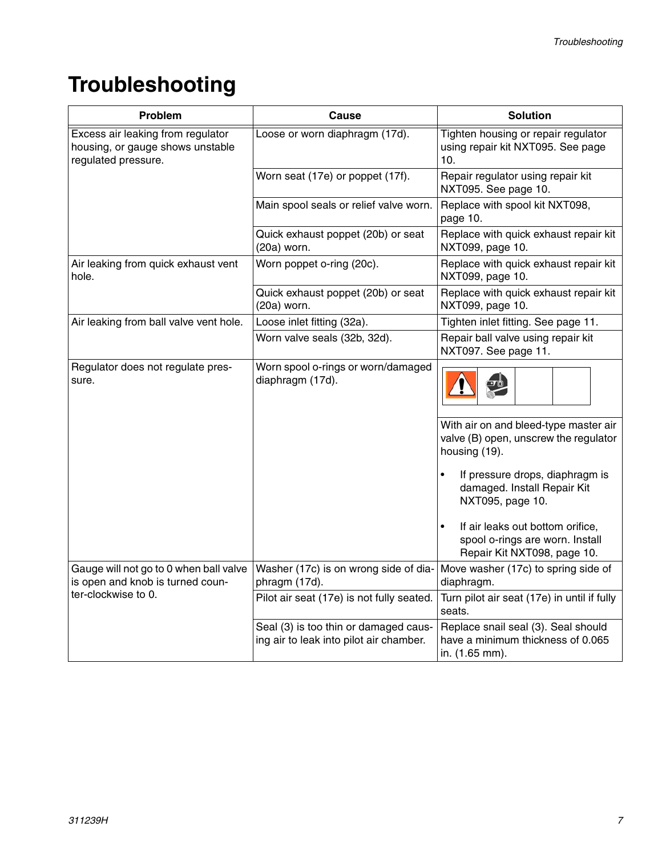# <span id="page-6-0"></span>**Troubleshooting**

| Problem                                                                                      | Cause                                                                            | <b>Solution</b>                                                                                    |  |  |  |
|----------------------------------------------------------------------------------------------|----------------------------------------------------------------------------------|----------------------------------------------------------------------------------------------------|--|--|--|
| Excess air leaking from regulator<br>housing, or gauge shows unstable<br>regulated pressure. | Loose or worn diaphragm (17d).                                                   | Tighten housing or repair regulator<br>using repair kit NXT095. See page<br>10.                    |  |  |  |
|                                                                                              | Worn seat (17e) or poppet (17f).                                                 | Repair regulator using repair kit<br>NXT095. See page 10.                                          |  |  |  |
|                                                                                              | Main spool seals or relief valve worn.                                           | Replace with spool kit NXT098,<br>page 10.                                                         |  |  |  |
|                                                                                              | Quick exhaust poppet (20b) or seat<br>(20a) worn.                                | Replace with quick exhaust repair kit<br>NXT099, page 10.                                          |  |  |  |
| Air leaking from quick exhaust vent<br>hole.                                                 | Worn poppet o-ring (20c).                                                        | Replace with quick exhaust repair kit<br>NXT099, page 10.                                          |  |  |  |
|                                                                                              | Quick exhaust poppet (20b) or seat<br>(20a) worn.                                | Replace with quick exhaust repair kit<br>NXT099, page 10.                                          |  |  |  |
| Air leaking from ball valve vent hole.                                                       | Loose inlet fitting (32a).                                                       | Tighten inlet fitting. See page 11.                                                                |  |  |  |
|                                                                                              | Worn valve seals (32b, 32d).                                                     | Repair ball valve using repair kit<br>NXT097. See page 11.                                         |  |  |  |
| Regulator does not regulate pres-<br>sure.                                                   | Worn spool o-rings or worn/damaged<br>diaphragm (17d).                           |                                                                                                    |  |  |  |
|                                                                                              |                                                                                  | With air on and bleed-type master air<br>valve (B) open, unscrew the regulator<br>housing (19).    |  |  |  |
|                                                                                              |                                                                                  | If pressure drops, diaphragm is<br>damaged. Install Repair Kit<br>NXT095, page 10.                 |  |  |  |
|                                                                                              |                                                                                  | If air leaks out bottom orifice,<br>spool o-rings are worn. Install<br>Repair Kit NXT098, page 10. |  |  |  |
| Gauge will not go to 0 when ball valve<br>is open and knob is turned coun-                   | Washer (17c) is on wrong side of dia-<br>phragm (17d).                           | Move washer (17c) to spring side of<br>diaphragm.                                                  |  |  |  |
| ter-clockwise to 0.                                                                          | Pilot air seat (17e) is not fully seated.                                        | Turn pilot air seat (17e) in until if fully<br>seats.                                              |  |  |  |
|                                                                                              | Seal (3) is too thin or damaged caus-<br>ing air to leak into pilot air chamber. | Replace snail seal (3). Seal should<br>have a minimum thickness of 0.065<br>in. (1.65 mm).         |  |  |  |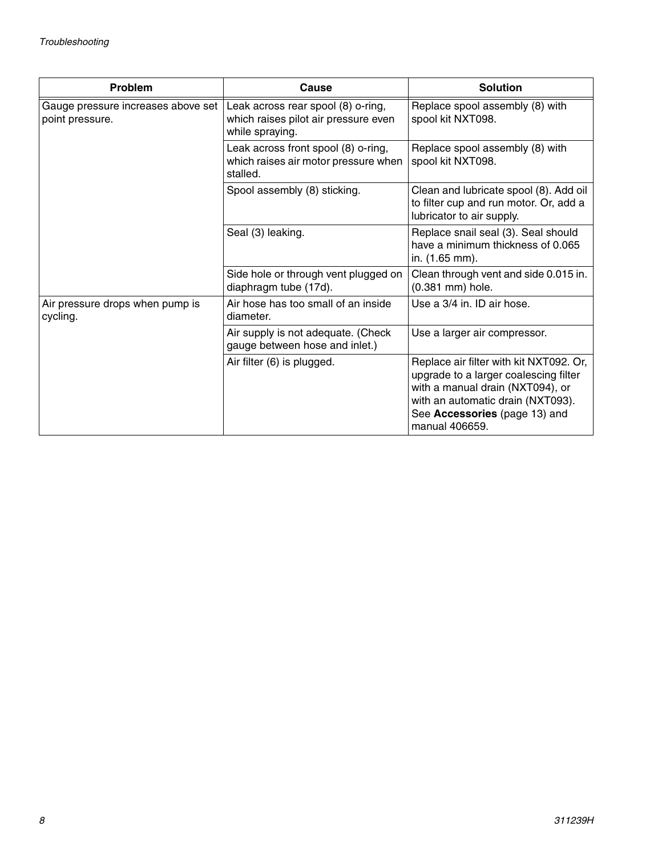| <b>Problem</b>                                        | Cause                                                                                         | <b>Solution</b>                                                                                                                                                                                              |
|-------------------------------------------------------|-----------------------------------------------------------------------------------------------|--------------------------------------------------------------------------------------------------------------------------------------------------------------------------------------------------------------|
| Gauge pressure increases above set<br>point pressure. | Leak across rear spool (8) o-ring,<br>which raises pilot air pressure even<br>while spraying. | Replace spool assembly (8) with<br>spool kit NXT098.                                                                                                                                                         |
|                                                       | Leak across front spool (8) o-ring,<br>which raises air motor pressure when<br>stalled.       | Replace spool assembly (8) with<br>spool kit NXT098.                                                                                                                                                         |
|                                                       | Spool assembly (8) sticking.                                                                  | Clean and lubricate spool (8). Add oil<br>to filter cup and run motor. Or, add a<br>lubricator to air supply.                                                                                                |
|                                                       | Seal (3) leaking.                                                                             | Replace snail seal (3). Seal should<br>have a minimum thickness of 0.065<br>in. (1.65 mm).                                                                                                                   |
|                                                       | Side hole or through vent plugged on<br>diaphragm tube (17d).                                 | Clean through vent and side 0.015 in.<br>(0.381 mm) hole.                                                                                                                                                    |
| Air pressure drops when pump is<br>cycling.           | Air hose has too small of an inside<br>diameter.                                              | Use a 3/4 in. ID air hose.                                                                                                                                                                                   |
|                                                       | Air supply is not adequate. (Check<br>gauge between hose and inlet.)                          | Use a larger air compressor.                                                                                                                                                                                 |
|                                                       | Air filter (6) is plugged.                                                                    | Replace air filter with kit NXT092. Or,<br>upgrade to a larger coalescing filter<br>with a manual drain (NXT094), or<br>with an automatic drain (NXT093).<br>See Accessories (page 13) and<br>manual 406659. |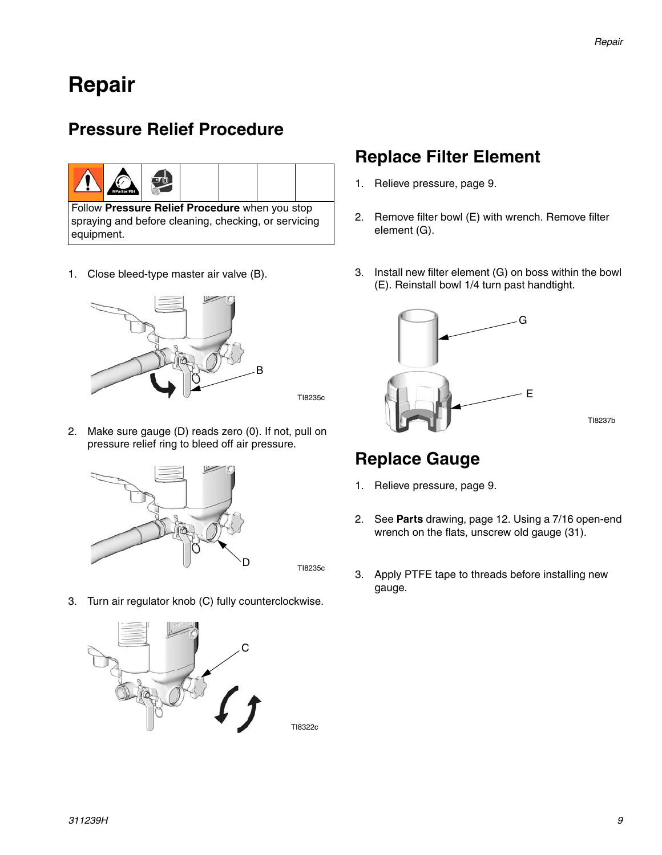### <span id="page-8-0"></span>**Repair**

### <span id="page-8-1"></span>**Pressure Relief Procedure**

|  | a bar PSI |  |  |
|--|-----------|--|--|
|--|-----------|--|--|

Follow **[Pressure Relief Procedure](#page-8-1)** when you stop spraying and before cleaning, checking, or servicing equipment.

1. Close bleed-type master air valve (B).



- TI8235c
- 2. Make sure gauge (D) reads zero (0). If not, pull on pressure relief ring to bleed off air pressure.



D TI8235c

3. Turn air regulator knob (C) fully counterclockwise.



### **Replace Filter Element**

- 1. Relieve pressure, page [9.](#page-8-1)
- 2. Remove filter bowl (E) with wrench. Remove filter element (G).
- 3. Install new filter element (G) on boss within the bowl (E). Reinstall bowl 1/4 turn past handtight.



### **Replace Gauge**

- 1. Relieve pressure, page [9.](#page-8-1)
- 2. See **[Parts](#page-11-0)** drawing, page [12.](#page-11-0) Using a 7/16 open-end wrench on the flats, unscrew old gauge (31).
- 3. Apply PTFE tape to threads before installing new gauge.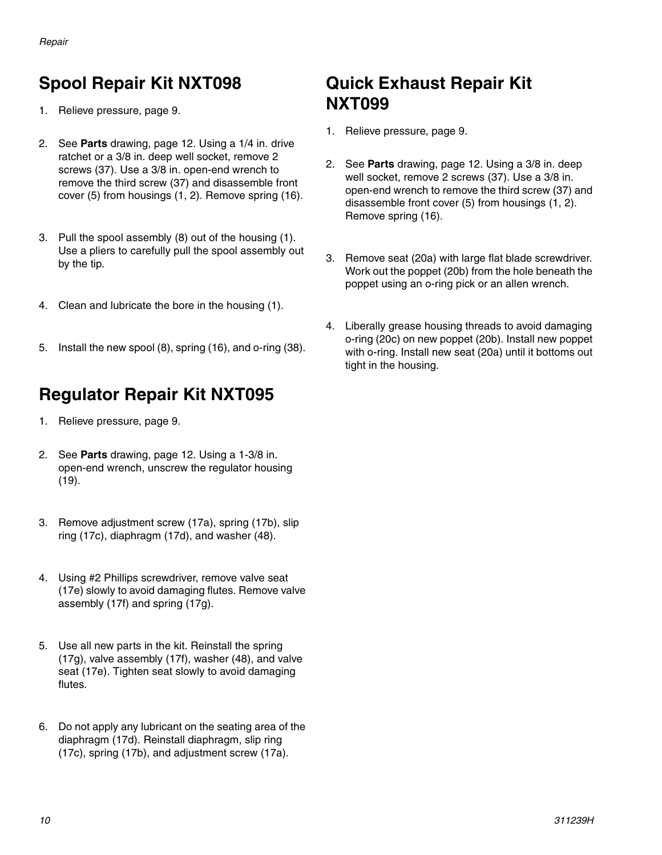### <span id="page-9-0"></span>**Spool Repair Kit NXT098**

- 1. Relieve pressure, page [9](#page-8-1). **NXT099**
- 2. See **[Parts](#page-11-0)** drawing, page [12.](#page-11-0) Using a 1/4 in. drive ratchet or a 3/8 in. deep well socket, remove 2 screws (37). Use a 3/8 in. open-end wrench to remove the third screw (37) and disassemble front cover (5) from housings (1, 2). Remove spring (16).
- 3. Pull the spool assembly (8) out of the housing (1). Use a pliers to carefully pull the spool assembly out by the tip.
- 4. Clean and lubricate the bore in the housing (1).
- 5. Install the new spool (8), spring (16), and o-ring (38).

### **Regulator Repair Kit NXT095**

- 1. Relieve pressure, page [9](#page-8-1).
- 2. See **[Parts](#page-11-0)** drawing, page [12.](#page-11-0) Using a 1-3/8 in. open-end wrench, unscrew the regulator housing (19).
- 3. Remove adjustment screw (17a), spring (17b), slip ring (17c), diaphragm (17d), and washer (48).
- 4. Using #2 Phillips screwdriver, remove valve seat (17e) slowly to avoid damaging flutes. Remove valve assembly (17f) and spring (17g).
- 5. Use all new parts in the kit. Reinstall the spring (17g), valve assembly (17f), washer (48), and valve seat (17e). Tighten seat slowly to avoid damaging flutes.
- 6. Do not apply any lubricant on the seating area of the diaphragm (17d). Reinstall diaphragm, slip ring (17c), spring (17b), and adjustment screw (17a).

# <span id="page-9-1"></span>**Quick Exhaust Repair Kit**

- 1. Relieve pressure, page [9.](#page-8-1)
- 2. See **[Parts](#page-11-0)** drawing, page [12](#page-11-0). Using a 3/8 in. deep well socket, remove 2 screws (37). Use a 3/8 in. open-end wrench to remove the third screw (37) and disassemble front cover (5) from housings (1, 2). Remove spring (16).
- 3. Remove seat (20a) with large flat blade screwdriver. Work out the poppet (20b) from the hole beneath the poppet using an o-ring pick or an allen wrench.
- 4. Liberally grease housing threads to avoid damaging o-ring (20c) on new poppet (20b). Install new poppet with o-ring. Install new seat (20a) until it bottoms out tight in the housing.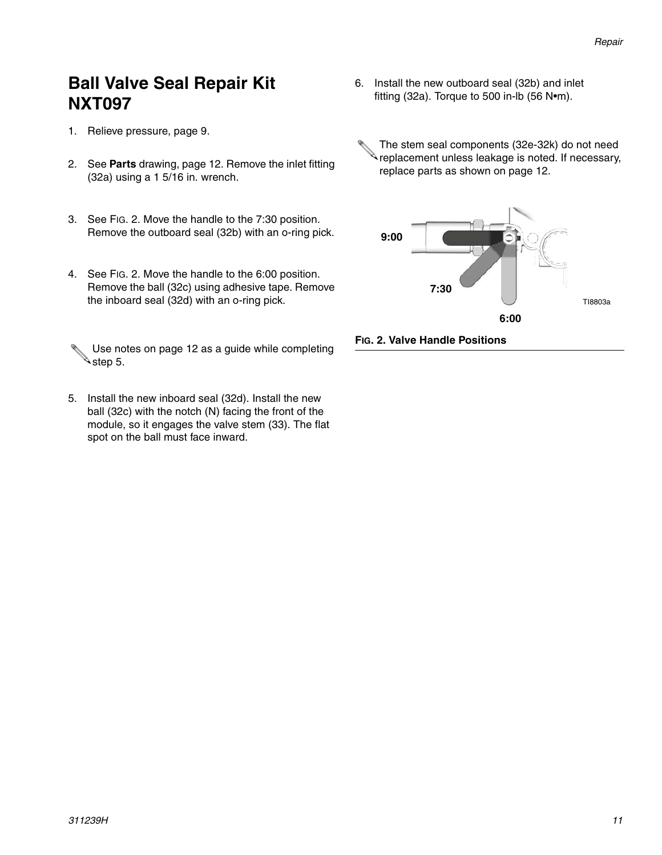### <span id="page-10-0"></span>**Ball Valve Seal Repair Kit NXT097**

- 1. Relieve pressure, page [9](#page-8-1).
- 2. See **[Parts](#page-11-0)** drawing, page [12](#page-11-0). Remove the inlet fitting (32a) using a 1 5/16 in. wrench.
- 3. See [FIG. 2](#page-10-1). Move the handle to the 7:30 position. Remove the outboard seal (32b) with an o-ring pick.
- 4. See [FIG. 2](#page-10-1). Move the handle to the 6:00 position. Remove the ball (32c) using adhesive tape. Remove the inboard seal (32d) with an o-ring pick.
- Use notes on page [12](#page-11-0) as a guide while completing  $\triangle$ step 5.
- 5. Install the new inboard seal (32d). Install the new ball (32c) with the notch (N) facing the front of the module, so it engages the valve stem (33). The flat spot on the ball must face inward.
- 6. Install the new outboard seal (32b) and inlet fitting (32a). Torque to 500 in-lb (56 N•m).
	- The stem seal components (32e-32k) do not need **replacement unless leakage is noted. If necessary,** replace parts as shown on page [12.](#page-11-0)



<span id="page-10-1"></span>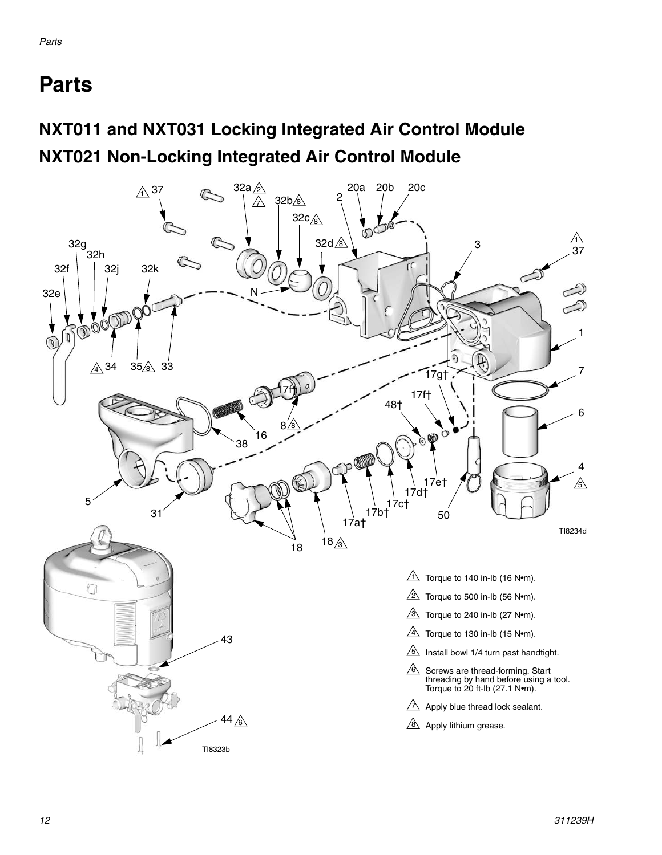# <span id="page-11-0"></span>**Parts**

### **NXT011 and NXT031 Locking Integrated Air Control Module NXT021 Non-Locking Integrated Air Control Module**

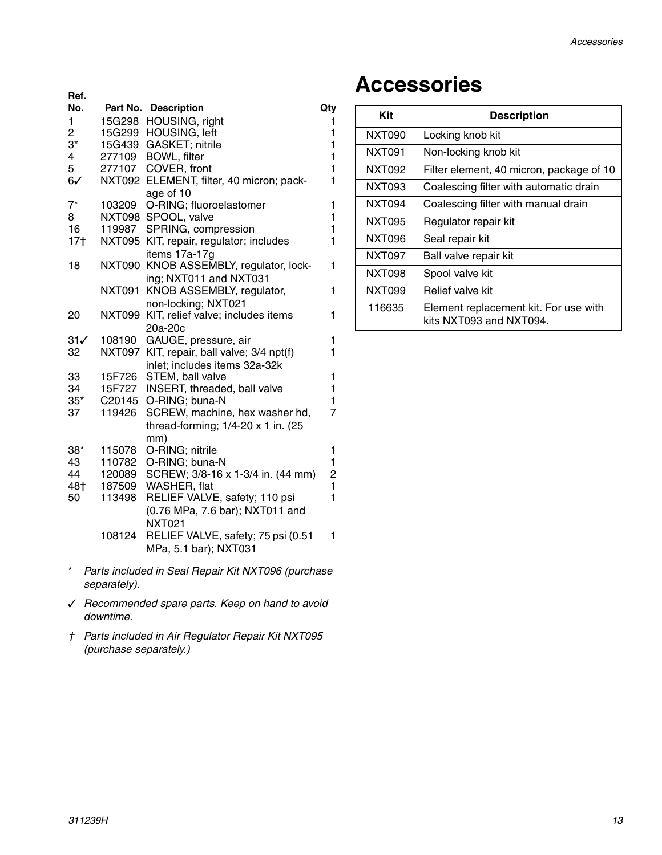| Ref.            |                    |                                           |                                |
|-----------------|--------------------|-------------------------------------------|--------------------------------|
| No.             |                    | Part No. Description                      | Qty                            |
| 1               | 15G298             | HOUSING, right                            | 1                              |
| 2               | 15G299             | HOUSING, left                             | 1                              |
| $3^{\star}$     | 15G439             | GASKET; nitrile                           | 1                              |
| 4               | 277109             | <b>BOWL, filter</b>                       | 1                              |
| 5               | 277107             | COVER, front                              | $\mathbf{1}$                   |
| $6\checkmark$   | <b>NXT092</b>      | ELEMENT, filter, 40 micron; pack-         | 1                              |
|                 |                    | age of 10                                 |                                |
| $7^*$           | 103209             | O-RING; fluoroelastomer                   | 1                              |
| 8               | NXT098             | SPOOL, valve                              | 1                              |
| 16              | 119987             | SPRING, compression                       | 1                              |
| 17 <sub>†</sub> | NXT095             | KIT, repair, regulator; includes          | 1                              |
|                 |                    | items 17a-17g                             |                                |
| 18              | <b>NXT090</b>      | KNOB ASSEMBLY, regulator, lock-           | 1                              |
|                 |                    | ing; NXT011 and NXT031                    |                                |
|                 | NXT091             | KNOB ASSEMBLY, regulator,                 | 1                              |
|                 |                    | non-locking; NXT021                       |                                |
| 20              | <b>NXT099</b>      | KIT, relief valve; includes items         | 1                              |
|                 |                    | 20a-20c                                   |                                |
| 31√             | 108190             | GAUGE, pressure, air                      | 1                              |
| 32              | NXT097             | KIT, repair, ball valve; 3/4 npt(f)       | 1                              |
|                 |                    | inlet; includes items 32a-32k             |                                |
| 33              | 15F726             | STEM, ball valve                          | 1                              |
| 34              | 15F727             | INSERT, threaded, ball valve              | 1                              |
| 35*             | C <sub>20145</sub> | O-RING; buna-N                            | 1                              |
| 37              | 119426             | SCREW, machine, hex washer hd,            | 7                              |
|                 |                    | thread-forming; $1/4-20 \times 1$ in. (25 |                                |
|                 |                    | mm)                                       |                                |
| $38*$           | 115078             | O-RING; nitrile                           | 1                              |
| 43              | 110782             | O-RING; buna-N                            | 1                              |
| 44              | 120089             | SCREW; 3/8-16 x 1-3/4 in. (44 mm)         | $\overline{c}$<br>$\mathbf{1}$ |
| 48†             | 187509             | WASHER, flat                              | 1                              |
| 50              | 113498             | RELIEF VALVE, safety; 110 psi             |                                |
|                 |                    | (0.76 MPa, 7.6 bar); NXT011 and           |                                |
|                 |                    | <b>NXT021</b>                             |                                |
|                 | 108124             | RELIEF VALVE, safety; 75 psi (0.51        | 1                              |
|                 |                    | MPa, 5.1 bar); NXT031                     |                                |
|                 |                    |                                           |                                |

- \* *Parts included in Seal Repair Kit NXT096 (purchase separately).*
- *Recommended spare parts. Keep on hand to avoid downtime.*
- *† Parts included in Air Regulator Repair Kit NXT095 (purchase separately.)*

### <span id="page-12-0"></span>**Accessories**

| Kit    | <b>Description</b>                                               |
|--------|------------------------------------------------------------------|
| NXT090 | Locking knob kit                                                 |
| NXT091 | Non-locking knob kit                                             |
| NXT092 | Filter element, 40 micron, package of 10                         |
| NXT093 | Coalescing filter with automatic drain                           |
| NXT094 | Coalescing filter with manual drain                              |
| NXT095 | Regulator repair kit                                             |
| NXT096 | Seal repair kit                                                  |
| NXT097 | Ball valve repair kit                                            |
| NXT098 | Spool valve kit                                                  |
| NXT099 | Relief valve kit                                                 |
| 116635 | Element replacement kit. For use with<br>kits NXT093 and NXT094. |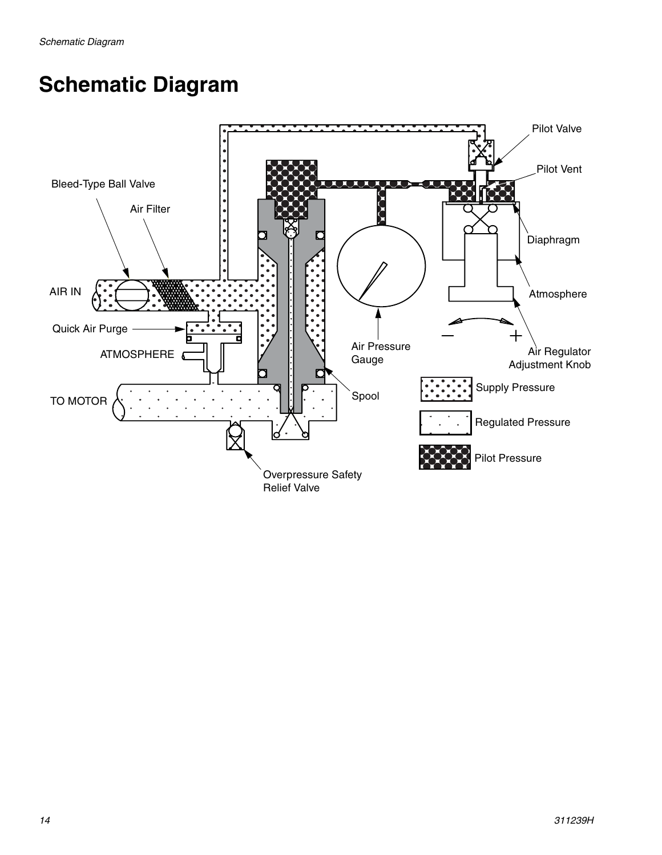# <span id="page-13-0"></span>**Schematic Diagram**

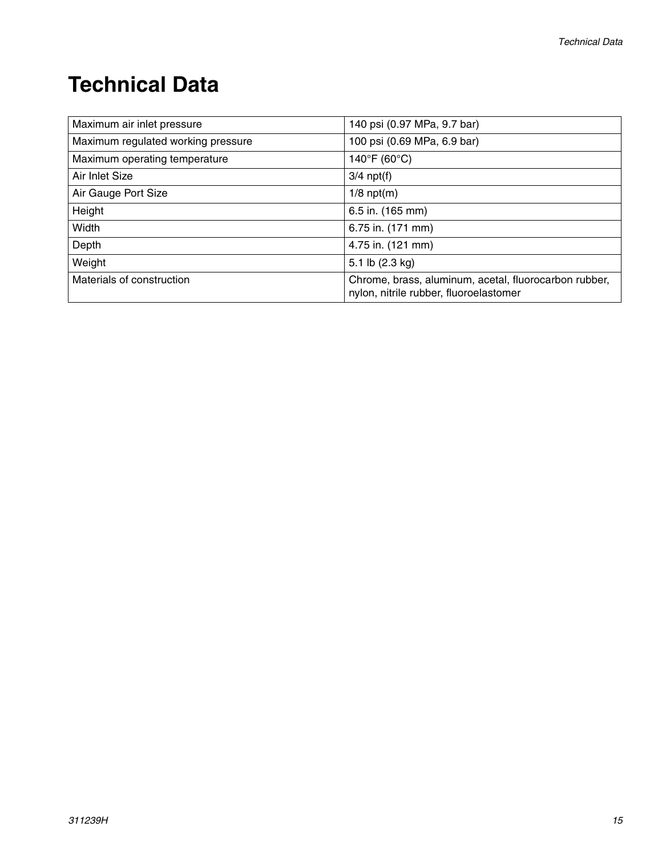# <span id="page-14-0"></span>**Technical Data**

| Maximum air inlet pressure         | 140 psi (0.97 MPa, 9.7 bar)                                                                     |
|------------------------------------|-------------------------------------------------------------------------------------------------|
| Maximum regulated working pressure | 100 psi (0.69 MPa, 6.9 bar)                                                                     |
| Maximum operating temperature      | $140^{\circ}$ F (60 $^{\circ}$ C)                                                               |
| Air Inlet Size                     | $3/4$ npt(f)                                                                                    |
| Air Gauge Port Size                | $1/8$ npt(m)                                                                                    |
| Height                             | 6.5 in. (165 mm)                                                                                |
| Width                              | 6.75 in. (171 mm)                                                                               |
| Depth                              | 4.75 in. (121 mm)                                                                               |
| Weight                             | 5.1 lb $(2.3 \text{ kg})$                                                                       |
| Materials of construction          | Chrome, brass, aluminum, acetal, fluorocarbon rubber,<br>nylon, nitrile rubber, fluoroelastomer |